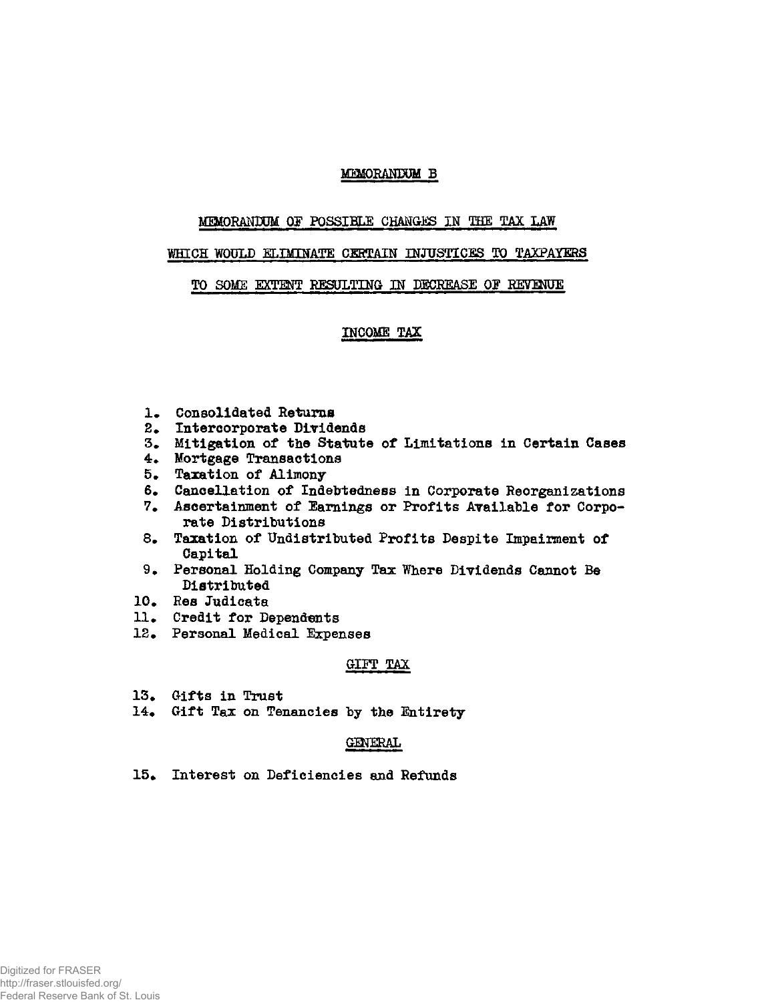## **MEMORANDUM B**

### **MEMORANDUM OF POSSIBLE CHANGES IN THE TAX LAW**

### **WHICH WOULD ELIMINATE CERTAIN INJUSTICES TO TAXPAYERS**

### **TO SOME EXTENT RESULTING IN DECREASE OF REVENUE**

## **INCOME TAX**

- **1. Consolidated Returns**
- **2. Intercorporate Dividends**
- **3. Mitigation of the Statute of Limitations in Certain Cases**
- **4. Mortgage Transactions**
- **5. Taxation of Alimony**
- **6. Cancellation of Indebtedness in Corporate Reorganizations**
- **7. Ascertainment of Earnings or Profits Available for Corporate Distributions**
- **8. Taxation of Undistributed Profits Despite Impairment of Capital**
- **9. Personal Holding Company Tax Where Dividends Cannot Be Distributed**
- **10. Res Judicata**
- **11. Credit for Dependents**
- **12. Personal Medical Expenses**

#### GIFT TAX

- **13• Gifts in Trust**
- **14\* Gift Tax on Tenancies** *by* **the Entirety**

## Gemeinde auf der Berlingen dem Berling am der Berling am der Berling am der Berling am der Berling am der Berl<br>Berling

15. Interest on Deficiencies and Refunds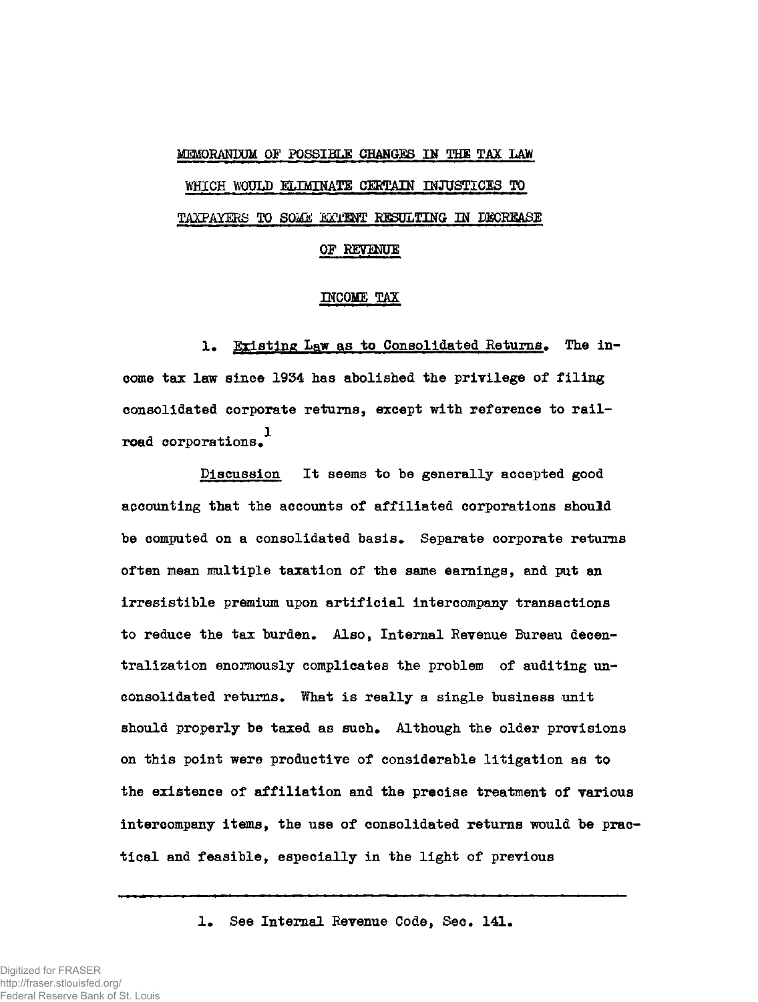# **MEMORANDUM OF POSSIBLE CHANGES IN THE TAX LAW WHICH WOULD ELIMINATE CERTAIN INJUSTICES TO**  TAXPAYERS TO **SOME ggflM**T **RESULTING IN DECREASE OF REVENUE**

### **INCOME TAX**

1. Existing Law as to Consolidated Returns. The in**come tax law since 1934 has abolished the privilege of filing consolidated corporate returns, except with reference to railroad corporations** 

**Discussion It seems to he generally accepted good accounting that the accounts of affiliated corporations should**  be computed on a consolidated basis. Separate corporate returns **often mean multiple taxation of the same earnings, and put an irresistible premium upon artificial intercompany transactions**  to reduce the tax burden. Also, Internal Revenue Bureau decen**tralization enormously complicates the problem of auditing unconsolidated returns\* What is really a single business unit**  should properly be taxed as such. Although the older provisions **on this point were productive of considerable litigation as to the existence of affiliation and the precise treatment of various intercompany items, the use of consolidated returns would be practical and feasible, especially in the light of previous** 

1. See Internal Revenue Code, Sec. 141.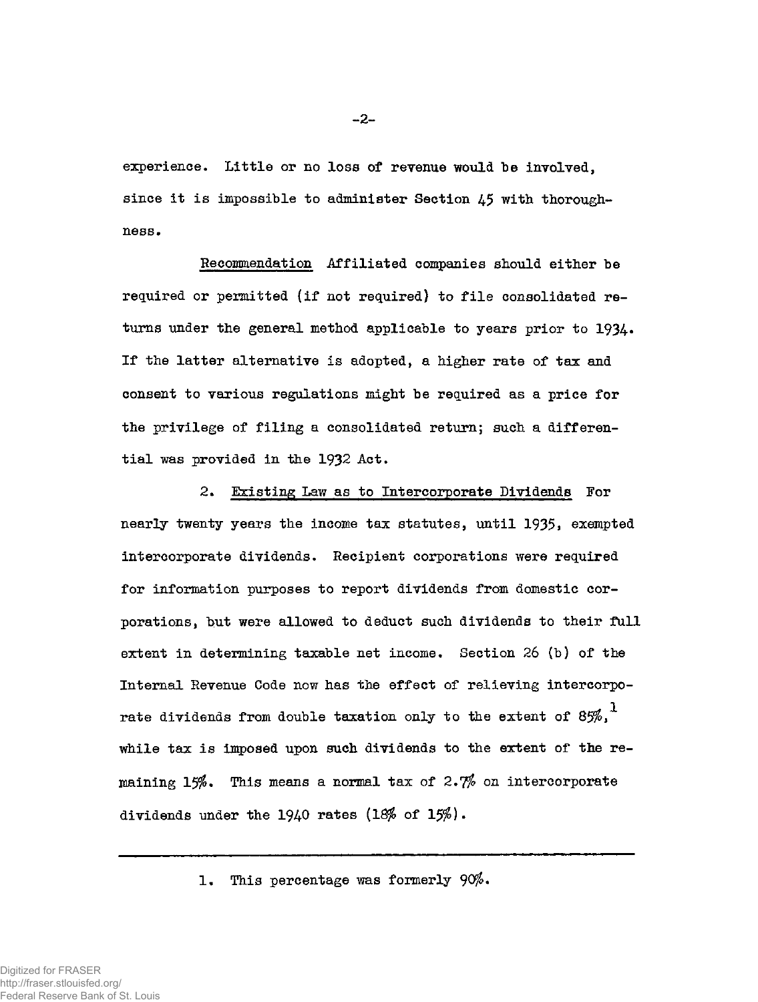experience. Little or no loss of revenue would be involved, since it is impossible to administer Section 45 with thoroughness.

**Re commendat ion Affiliated companies should either be required or permitted (if not required) to file consolidated re**turns under the general method applicable to years prior to 1934. **If the latter alternative is adopted, a higher rate of tax and consent to various regulations might be required as a price for the privilege of filing a consolidated return; such a differential was provided in the 1932 Act.** 

**2. Existing Law as to Intercorporate Dividends For**  nearly twenty years the income tax statutes, until 1935, exempted **intercorporate dividends. Recipient corporations were required for information purposes to report dividends from domestic corporations, but were allowed to deduct such dividends to their full extent in determining taxable net income. Section 26 (b) of the Internal Revenue Code now has the effect of relieving intercorporate dividends from double taxation only to the extent of 85%,<sup>1</sup> while tax is imposed upon such dividends to the extent of the remaining 15%. This means a normal tax of 2.jfo on intercorporate dividends under the 1940 rates (18% of 15%)•** 

**1. This percentage was formerly 90%•** 

Digitized for FRASER http://fraser.stlouisfed.org/ Federal Reserve Bank of St. Louis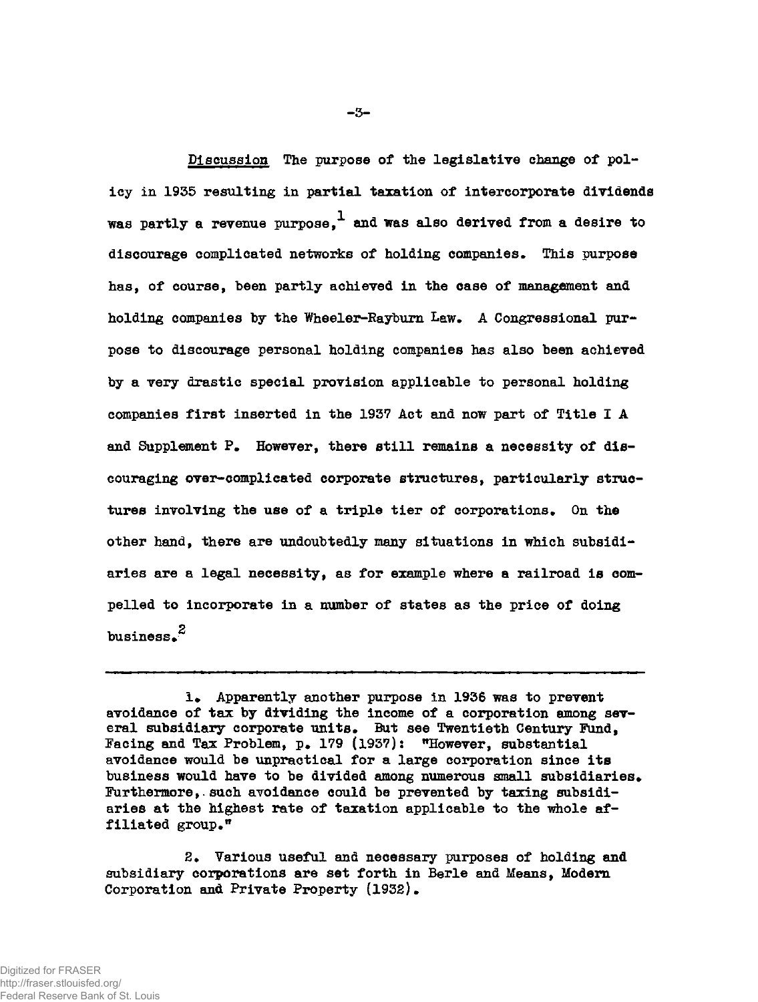**Discusslon The purpose of the legislative change of policy in 1935 resulting in partial taxation of intercorporate dividends**  was partly a revenue purpose.<sup>1</sup> and was also derived from a desire to **discourage complicated networks of holding companies- This purpose has, of course, been partly achieved in the case of management and**  holding companies by the Wheeler-Rayburn Law. A Congressional pur**pose to discourage personal holding companies has also been achieved by a very drastic special provision applicable to personal holding companies first inserted in the 1937 Act and now part of Title I A and Supplement P» However, there still remains a necessity of discouraging over-complicated corporate structures, particularly struc**tures involving the use of a triple tier of corporations. On the **other hand, there are undoubtedly many situations in which subsidiaries are a legal necessity, as for example where a railroad is compelled to incorporate in a number of states as the price of doing business.<sup>2</sup>**

**2# Various useful and necessary purposes of holding and subsidiary corporations are set forth in Berle and Means, Modern Corporation and Private Property (1932).** 

**i» Apparently another purpose in 1936 was to prevent avoidance of tax by dividing the income of a corporation among sev**eral subsidiary corporate units. But see Twentieth Century Fund, **Facing and Tax Problem, p» 179 (1937): "However, substantial avoidance would be impractical for a large corporation since its**  business would have to be divided among numerous small subsidiaries. **Furthermore,.such avoidance could be prevented by taxing subsidiaries at the highest rate of taxation applicable to the whole affiliated group**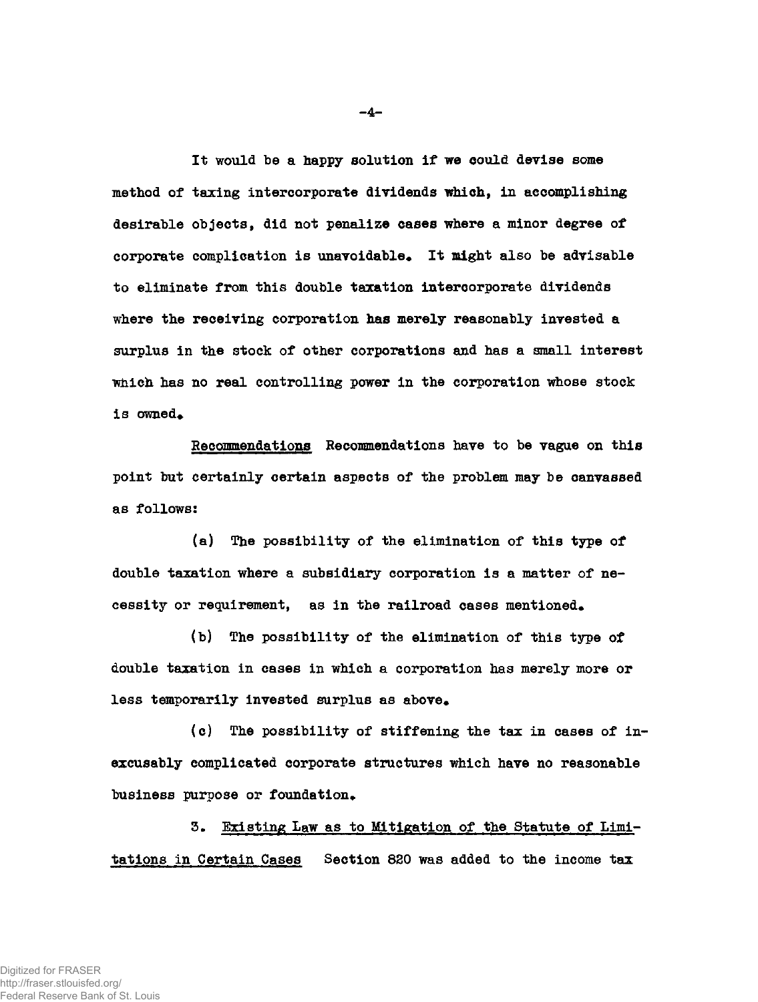**It would be a happy solution if we could devise some method of taxing intercorporate dividends which, in accomplishing desirable objects, did not penalize cases where a minor degree of corporate complication is unavoidable\* It might also be advisable to eliminate from this double taxation intercorporate dividends where the receiving corporation has merely reasonably invested a surplus in the stock of other corporations and has a small interest which has no real controlling power in the corporation whose stock**  is owned.

**Recommendations Recommendations have to be vagae on this point but certainly certain aspects of the problem may be canvassed as follows:** 

**(a) The possibility of the elimination of this type of double taxation where a subsidiary corporation is a matter of necessity or requirement, as in the railroad cases mentioned\*** 

**(b) The possibility of the elimination of this type of double taxation in cases in which a corporation has merely more or**  less temporarily invested surplus as above.

**(c) The possibility of stiffening the tax in cases of inexcusably complicated corporate structures which have no reasonable**  business purpose or foundation.

**3. Existing Law as to Mitigation of the Statute of Limitations in Certain Cases Section 820 was added to the income tax** 

**4-**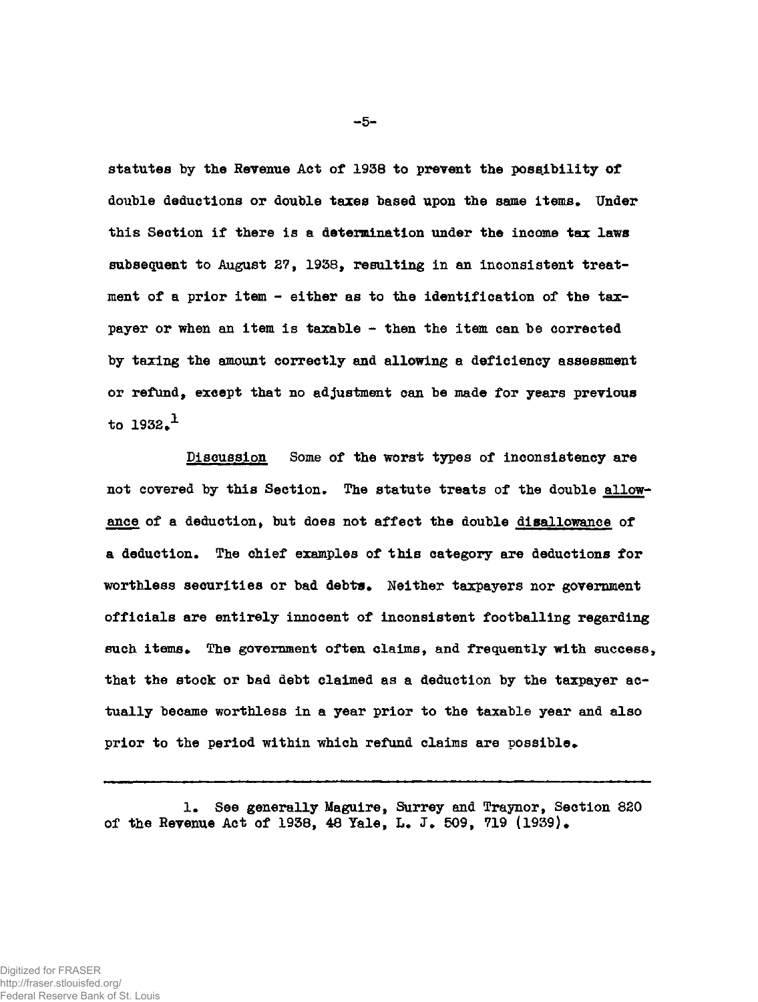**statutes by the Revenue Act of 1938 to prevent the possibility of double deductions or double taxes based upon the same items. Under this Section if there is a determination under the income tax laws subsequent to August 27, 1938, resulting in an inconsistent treatment of a prior item - either as to the identification of the taxpayer or when an item is taxable - then the item can be corrected by taxing the amount correctly and allowing a deficiency assessment or refund, except that no adjustment can be made for years previous**   $\tan 1932.<sup>1</sup>$ 

**Discussion Some of the worst types of inconsistency are not covered by this Section. The statute treats of the double allowance of a deduction, but does not affect the double disallowance of a deduction. The chief examples of this category are deductions for worthless securities or bad debts\* Neither taxpayers nor government officials are entirely innocent of inconsistent footballing regarding such items. The government often claims, and frequently with success, that the stock or bad debt claimed as a deduction by the taxpayer actually became worthless in a year prior to the taxable year and also prior to the period within which refund claims are possible.** 

**1. See generally Maguire, Surrey and Traynor, Section 820 of the Revenue Act of 1938, 48 Yale, L. J. 509, 719 (1939)•** 

**-5-**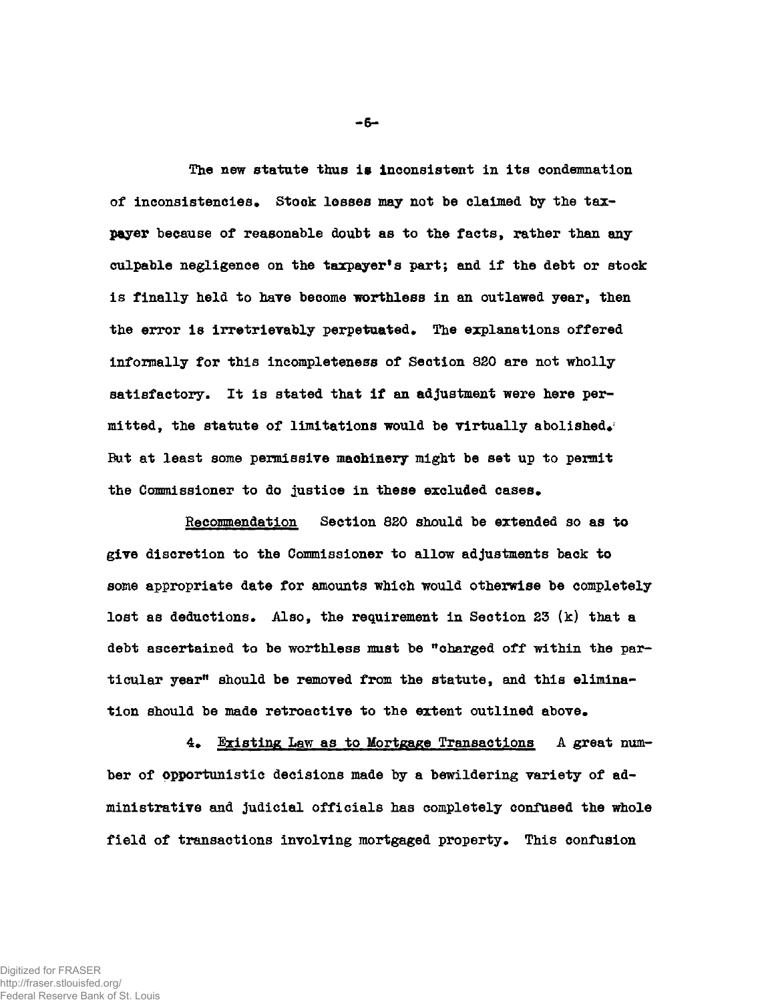**The new statute thus is inconsistent in its condemnation**  of inconsistencies. Stock losses may not be claimed by the tax**payer because of reasonable doubt as to the facts, rather than any culpable negligence on the taxpayer<sup>1</sup>s part; and if the debt or stock is finally held to hare become worthless in an outlawed year, then**  the error is irretrievably perpetuated. The explanations offered **informally for this incompleteness of Section 820 are not wholly satisfactory. It is stated that if an adjustment were here permitted, the statute of limitations would be virtually abolished\*<sup>1</sup> But at least some permissive machinery might be set up to permit**  the Commissioner to do justice in these excluded cases.

**Recommendation Section 820 should be extended so as to give discretion to the Commissioner to allow adjustments back to some appropriate date for amounts which would otherwise be completely lost as deductions• Also, the requirement in Section 23 (k) that a debt ascertained to be worthless mast be "charged off within the par**ticular year<sup>*n*</sup> should be removed from the statute, and this elimina**tion should be made retroactive to the extent outlined above\*** 

**4\* Existing Law as to Mortgage Transactions** *A* **great number of opportunistic decisions made by a bewildering variety of administrative and judicial officials has completely confused the whole**  field of transactions involving mortgaged property. This confusion

**-6-**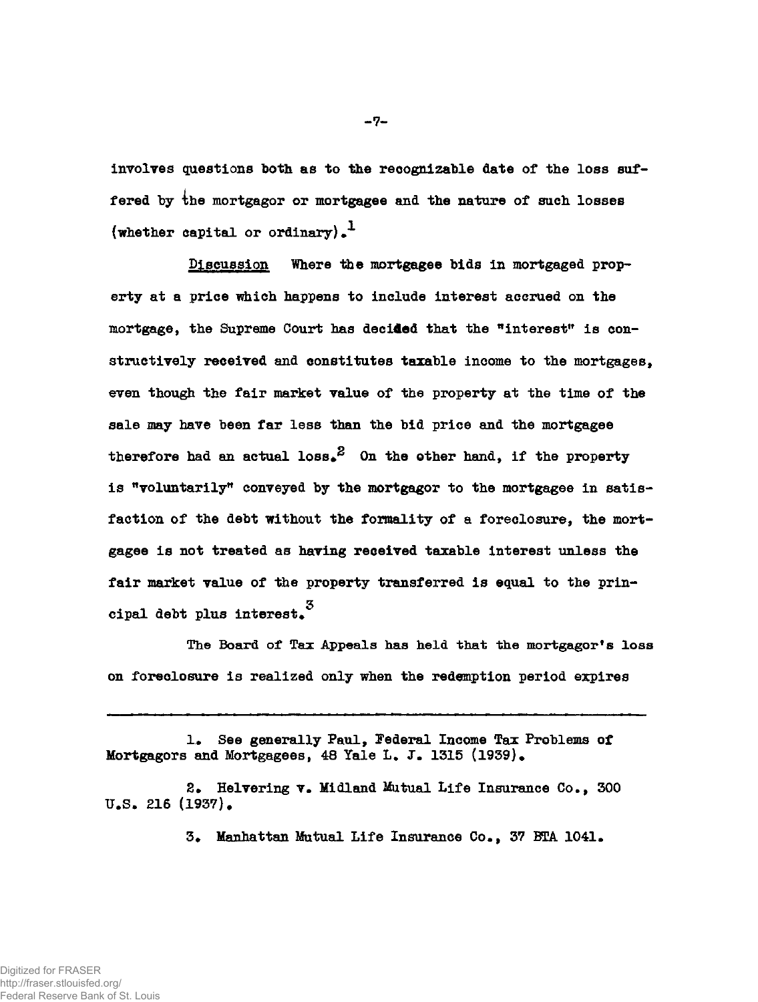**involves questions both as to the recognizable date of the loss suffered by 4he mortgagor or mortgagee and the nature of such losses (whether capital or ordinary).<sup>1</sup>**

**Discussion Where the mortgagee bids in mortgaged property at a price which happens to include interest accrued on the mortgage, the Supreme Court has decided that the "interest" is constructively received and constitutes taxable income to the mortgages, even though the fair market value of the property at the time of the sale may have been far less than the bid price and the mortgagee**  therefore had an actual  $loss^2$  On the other hand, if the property **is "voluntarily" conveyed by the mortgagor to the mortgagee in satisfaction of the debt without the formality of a foreclosure, the mortgagee is not treated as having received taxable interest unless the fair market value of the property transferred is equal to the prin**cipal debt plus interest.<sup>3</sup>

**1. See generally Paul, Federal Income Tax Problems of**  Mortgagors and Mortgagees, 48 Yale L. J. 1315 (1939).

**2\* Helvering v. Midland Mutual Life Insurance Co., 300 U.S. 216 (1937)•** 

**3. Manhattan Mutual Life Insurance Co., 37 BTA 1041.** 

**-7«**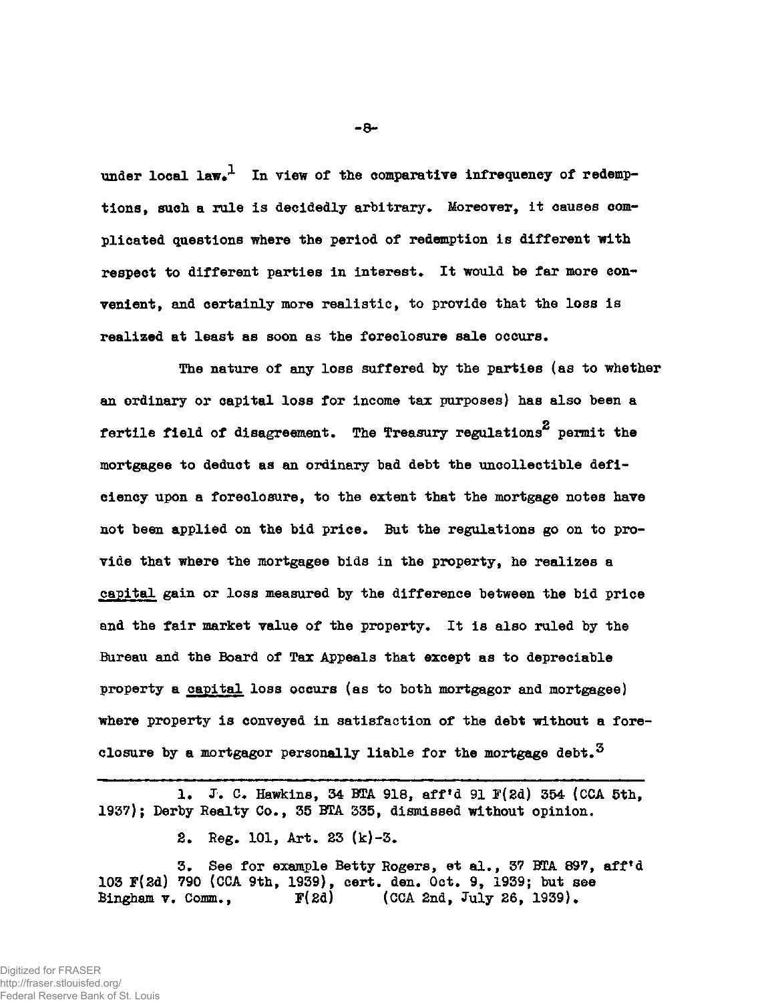under local law.<sup>1</sup> In view of the comparative infrequency of redemptions, such a rule is decidedly arbitrary. Moreover, it causes com**plicated questions where the period of redemption is different with**  respect to different parties in interest. It would be far more con**venient, and certainly more realistic, to provide that the loss is**  realized at least as soon as the foreclosure sale occurs.

**The nature of any loss suffered by the parties (as to whether an ordinary or capital loss for income tax purposes) has also been a**  fertile field of disagreement. The Treasury regulations<sup>2</sup> permit the mortgagee to deduct as an ordinary bad debt the uncollectible deficiency upon a foreclosure, to the extent that the mortgage notes have not been applied on the bid price. But the regulations go on to provide that where the mortgagee bids in the property, he realizes a capital gain or loss measured by the difference between the bid price and the fair market value of the property. It is also ruled by the Bureau and the Board of Tax Appeals that except as to depreciable property a capital loss occurs (as to both mortgagor and mortgagee) where property is conveyed in satisfaction of the debt without a fore**where property is conveyed in satisfaction of the debt without a fore-**

**1\* J. C. Hawkins, 34 BTA 918, aff'd 91 F(2d) 354 (CCA 5th, 1937); Derby Realty Co., 35 BTA 335, dismissed without opinion.** 

**2\* Reg. 101, Art. 23 (k)-3.** 

**3. See for example Betty Rogers, et al., 37 BTA 897, aff'd 103 F(2d) 790 (CCA 9th, 1939), cert. den. Oct. 9, 1939; but see Bingham v. Comm., F(2d) (CCA 2nd, July 26, 1939).** 

Digitized for FRASER http://fraser.stlouisfed.org/ Federal Reserve Bank of St. Louis **-8-**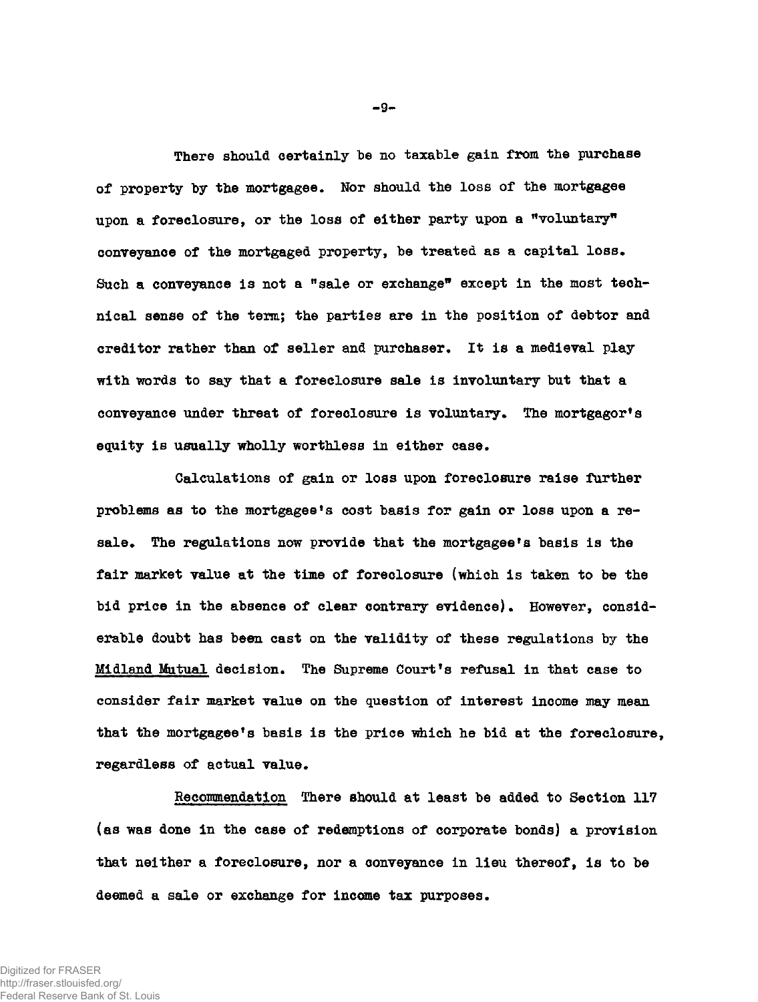**There should certainly be no taxable gain from the purchase of property by the mortgagee. Nor should the loss of the mortgagee upon a foreclosure, or the loss of either party upon a "voluntary" conveyance of the mortgaged property, be treated as a capital loss\* Such a conveyance is not a<sup>n</sup>sale or exchange" except in the most technical sense of the term; the parties are in the position of debtor and creditor rather than of seller and purchaser. It is a medieval play with words to say that a foreclosure sale is involuntary but that a conveyance under threat of foreclosure is voluntary. The mortgagor<sup>1</sup>s**  equity is usually wholly worthless in either case.

**Calculations of gain or loss upon foreclosure raise further problems as to the mortgagee's cost basis for gain or loss upon a re**sale. The regulations now provide that the mortgagee's basis is the **fair market value at the time of foreclosure (which is taken to be the bid price in the absence of clear contrary evidence). However, considerable doubt has been cast on the validity of these regulations by the Midland Mutual decision\* The Supreme Court\*s refusal in that case to consider fair market value on the question of interest income may mean that the mortgagee's basis is the price which he bid at the foreclosure,**  regardless of actual value.

**Recommendation There should at least be added to Section 117 (as was done in the case of redemptions of corporate bonds) a provision that neither a foreclosure, nor a conveyance in lieu thereof, is to be**  deemed a sale or exchange for income tax purposes.

**- 9 -**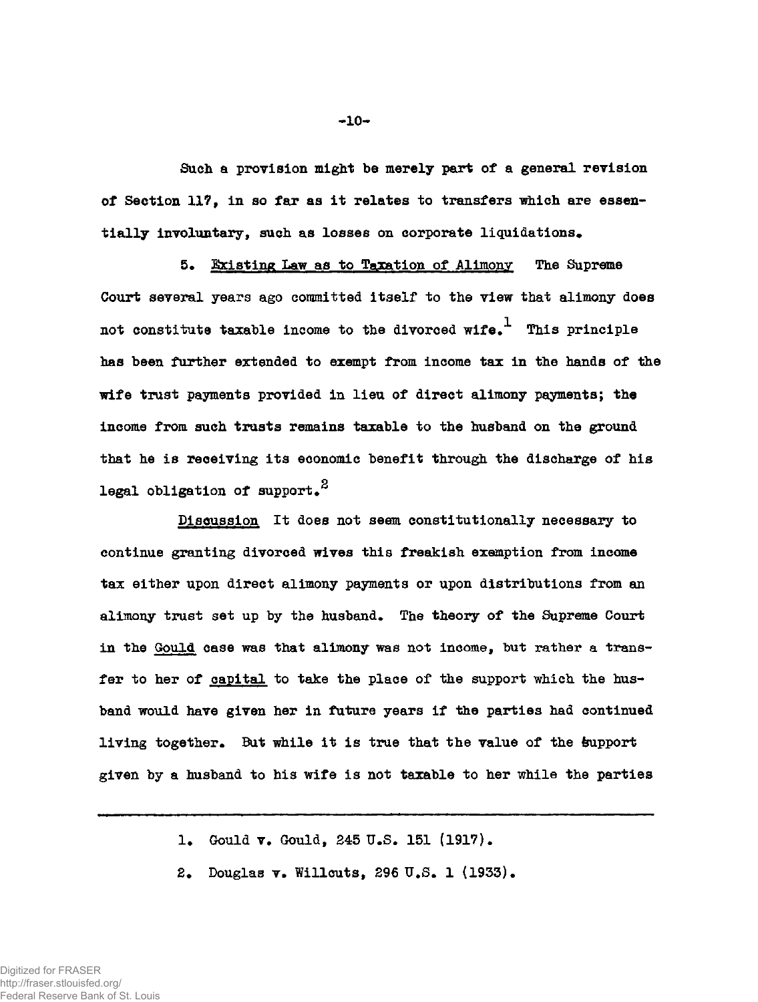**Such a provision might be merely part of a general revision of Section 117, in so far as it relates to transfers which are essen**tially involuntary, such as losses on corporate liquidations.

5. Existing Law as to Taxation of Alimony The Supreme **Court several years ago committed itself to the view that alimony does not constitute taxable income to the divorced wife\*<sup>1</sup> This principle has been further extended to exempt from income tax in the hands of the wife trust payments provided in lieu of direct alimony payments; the income from such trusts remains taxable to the husband on the ground that he is receiving its economic benefit through the discharge of his p legal obligation of support\*** 

**Discussion It does not seem constitutionally necessary to continue granting divorced wives this freakish exemption from income tax either upon direct alimony payments or upon distributions from an**  alimony trust set up by the husband. The theory of the Supreme Court **in the Gould case was that alimony was not income, but rather a transfer to her of capital to take the place of the support which the husband would have given her in future years if the parties had continued**  living together. But while it is true that the value of the support **given by a husband to his wife is not taxable to her while the parties** 

1. Gould **v.** Gould, 245 U.S. 151 (1917).

2. Douglas **v. Willcuts, 296 U.S. 1 (1933).**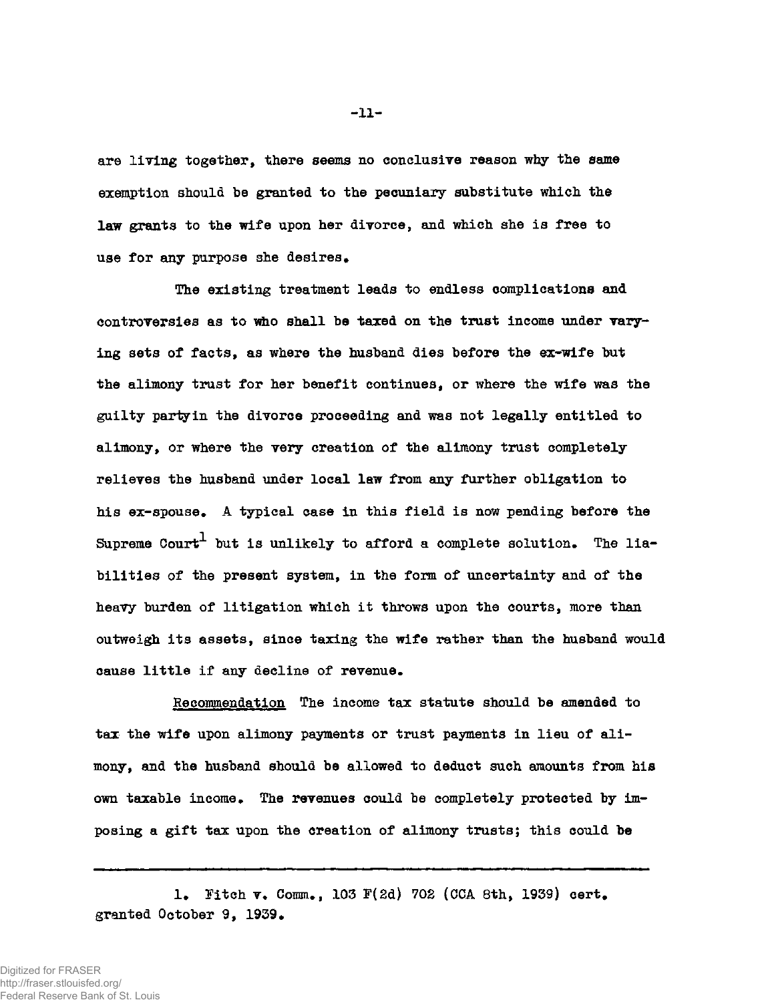**are living together, there seems no conclusive reason why the same exemption should be granted to the pecuniary substitute which the law grants to the wife upon her divorce, and which she is free to use for any purpose she desires.** 

**The existing treatment leads to endless complications and**  controversies as to who shall be taxed on the trust income under vary**ing sets of facts, as where the husband dies before the ex-wife but the alimony trust for her benefit continues, or where the wife was the guilty parly in the divorce proceeding and was not legally entitled to alimony, or where the very creation of the alimony trust completely relieves the husband under local law from any further obligation to his ex-spouse. A typical case in this field is now pending before the**  Supreme Court<sup>1</sup> but is unlikely to afford a complete solution. The lia**bilities of the present system, in the form of uncertainty and of the heavy burden of litigation which it throws upon the courts, more than outweigh its assets, since taxing the wife rather than the husband would cause little if any decline of revenue.** 

**Recommendation The income tax statute should be amended to tax the wife upon alimony payments or trust payments in lieu of alimony, and the husband should be allowed to deduct such amounts from his own taxable income. The revenues could be completely protected by imposing a gift tax upon the creation of alimony trusts; this could be** 

1. Fitch **v.** Comm., 103 F(2d) 702 (CCA 8th, 1939) cert. **granted October 9, 1939•** 

**-11-**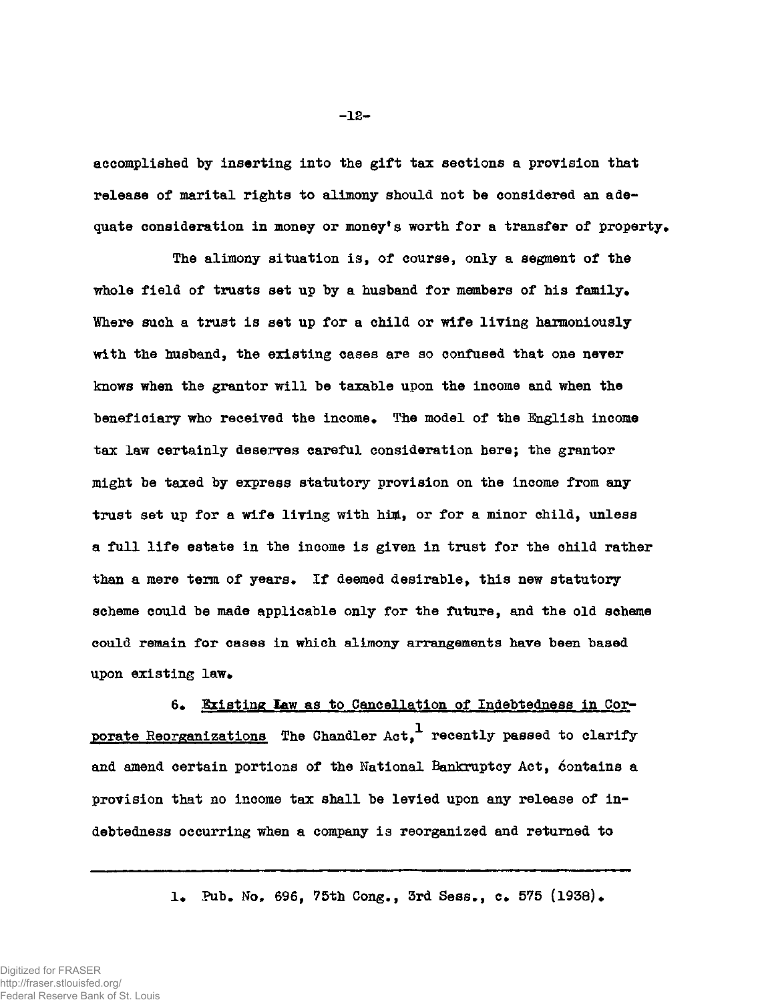**accomplished by inserting into the gift tax sections a provision that release of marital rights to alimony should not be considered an ade**quate consideration in money or money's worth for a transfer of property.

**The alimony situation is, of course, only a segment of the whole field of trusts set up by a husband for members of his family\* Where such a trust is set up for a child or wife living harmoniously with the husband, the existing cases are so confused that one never knows when the grantor will be taxable upon the income and when the**  beneficiary who received the income. The model of the English income **tax law certainly deserves careful consideration here; the grantor might be taxed by express statutory provision on the income from any trust set up for a wife living with him, or for a minor child, unless a full life estate in the income is given in trust for the child rather**  than a mere term of years. If deemed desirable, this new statutory **scheme could be made applicable only for the future, and the old scheme could remain for cases in which alimony arrangements have been based upon existing law.** 

6. Existing Law as to Cancellation of Indebtedness in Cor**porate Reorganizations The Chandler Act,<sup>1</sup> recently passed to clarify and amend certain portions of the National Bankruptcy Act, Contains a provision that no income tax shall be levied upon any release of indebtedness occurring when a company is reorganized and returned to** 

1. Pub. No. 696, 75th Cong., 3rd Sess., c. 575 (1938).

Digitized for FRASER http://fraser.stlouisfed.org/ Federal Reserve Bank of St. Louis **-12-**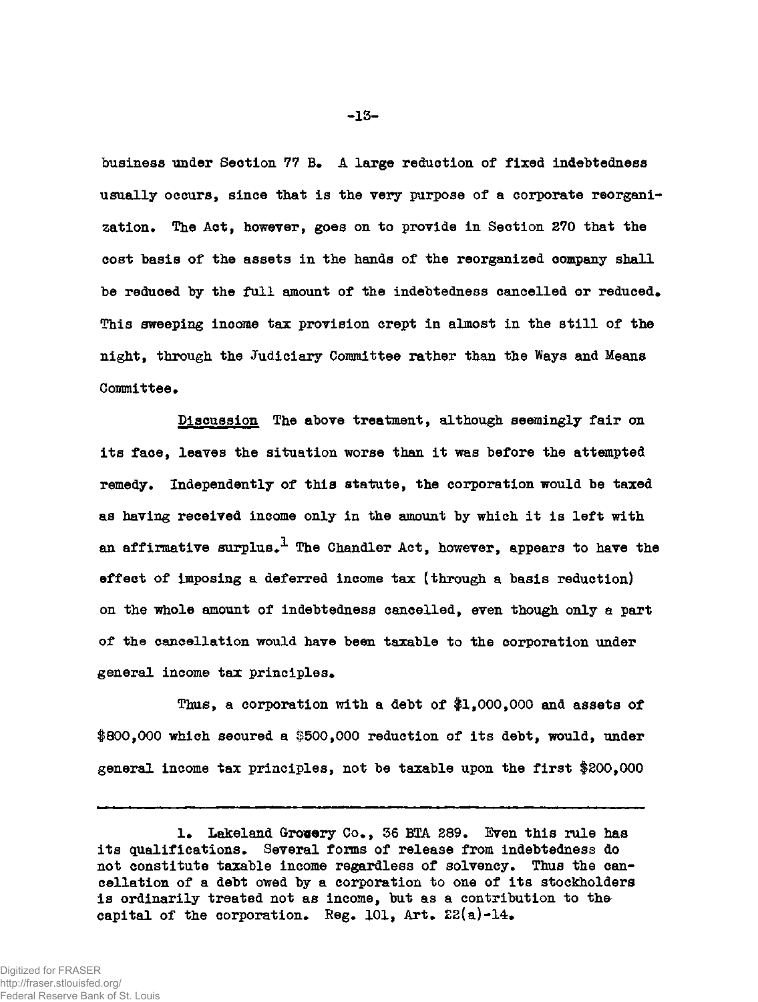**business under Section 77 B\* A large reduction of fixed indebtedness usually occurs, since that is the very purpose of a corporate reorgani**zation. The Act, however, goes on to provide in Section 270 that the **cost basis of the assets in the hands of the reorganized company shall**  be reduced by the full amount of the indebtedness cancelled or reduced. **This sweeping income tax provision crept in almost in the still of the night, through the Judiciary Committee rather than the Ways and Means**  Committee.

**Discussion The above treatment, although seemingly fair on its face, leaves the situation worse than it was before the attempted**  remedy. Independently of this statute, the corporation would be taxed **as having received income only in the amount by which it is left with**  an affirmative surplus.<sup>1</sup> The Chandler Act, however, appears to have the **effect of imposing a deferred income tax (through a basis reduction) on the whole amount of indebtedness cancelled, even though only a part of the cancellation would have been taxable to the corporation under**  general income tax principles.

**Thus, a corporation with a debt of \$1,000,000 and assets of #800,000 which secured a #500,000 reduction of its debt, would, under general income tax principles, not be taxable upon the first \$200,000** 

<sup>1.</sup> Lakeland Gro**cery** Co., 36 BTA 289. Even this rule has its qualifications. Several forms of release from indebtedness do not constitute taxable income regardless of solvency. Thus the can**cellation of a debt owed by a corporation to one of its stockholders is ordinarily treated not as income, but as a contribution to the**  capital of the corporation. Reg.  $101$ , Art.  $22(a)-14$ .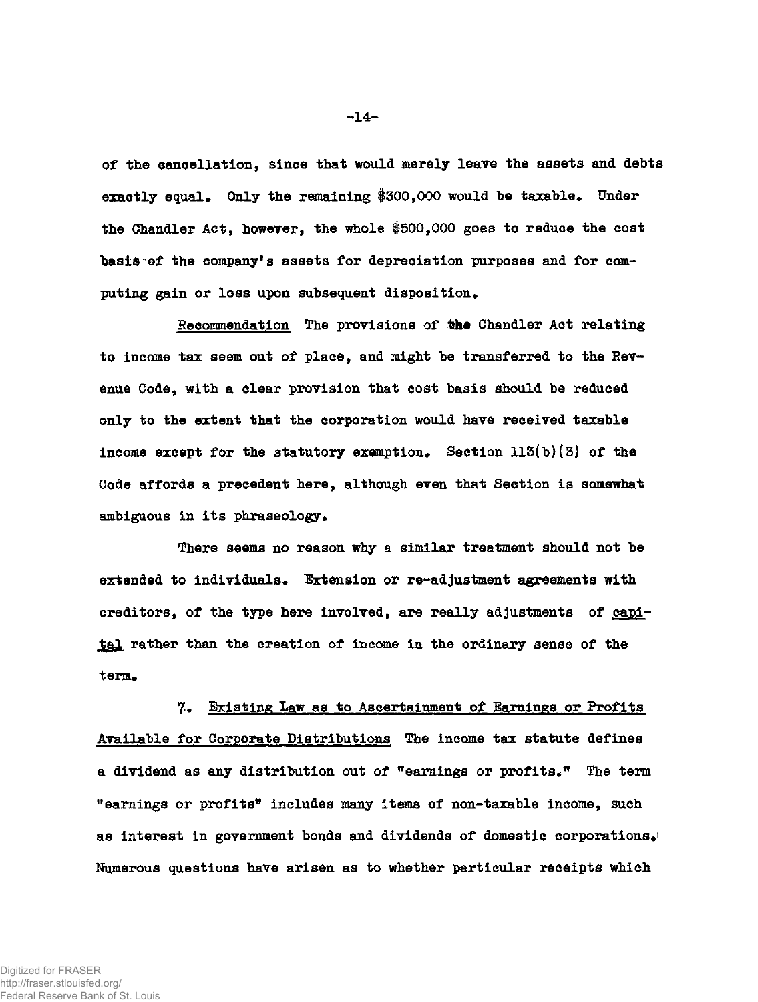of the cancellation, since that would merely leave the assets and debts exactly equal. Only the remaining \$300,000 would be taxable. Under **the Chandler Act, however, the whole #500,000 goes to reduce the cost basis of the company's assets for depreciation purposes and for com**puting gain or loss upon subsequent disposition.

**Recommendation The provisions of the Chandler Act relating to income tax seem out of place, and might be transferred to the Revenue Code, with a clear provision that cost basis should be reduced only to the extent that the corporation would have received taxable**  income except for the statutory exemption. Section  $113(b)(3)$  of the **Code affords a precedent here, although even that Section is somewhat**  ambiguous in its phraseology.

**There seems no reason why a similar treatment should not be extended to individuals• Extension or re-adjustment agreements with creditors, of the type here involved, are really adjustments of capital rather than the creation of income in the ordinary sense of the term\*** 

**7. Existing Law as to Ascertainment of Earnings or Profits Available for Corporate Distributions The income tax statute defines a dividend as any distribution out of "earnings or profits." The term "earnings or profits\* includes many items of non-taxable income, such as interest in government bonds and dividends of domestic corporations^ Numerous questions have arisen as to whether particular receipts which** 

**-14-**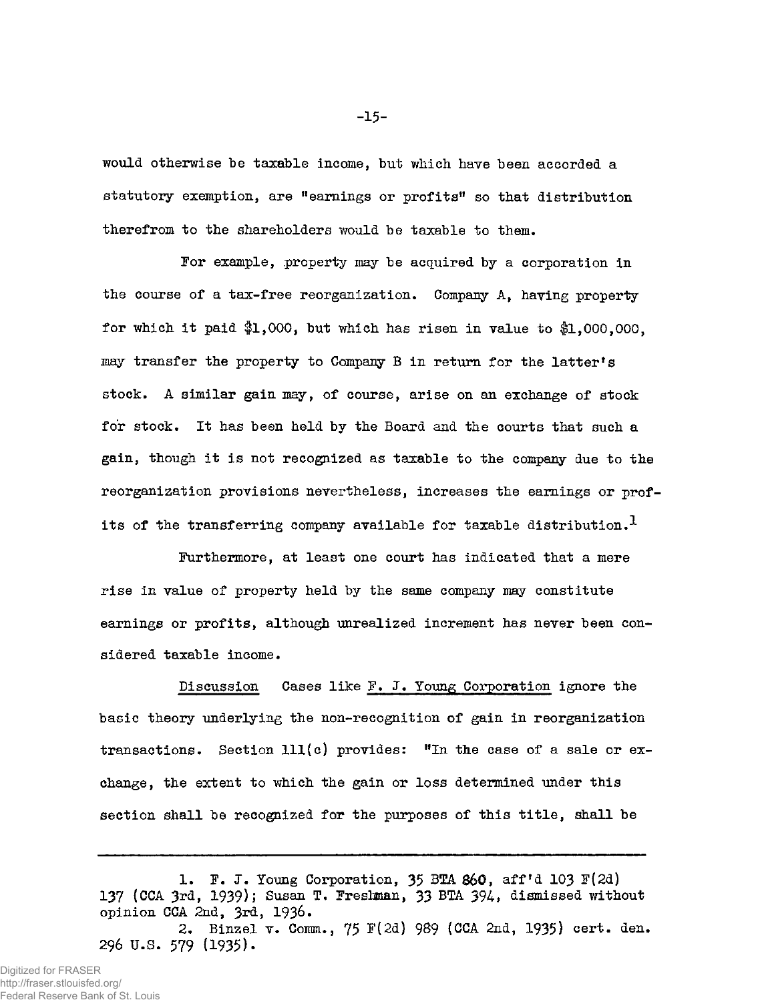would otherwise be taxable income, but which have been accorded a statutory exemption, are "earnings or profits" so that distribution therefrom to the shareholders would be taxable to them.

For example, property may be acquired by a corporation in the course of a tax-free reorganization. Company A, having property for which it paid  $$1,000$ , but which has risen in value to  $$1,000,000$ . may transfer the property to Company B in return for the latter's stock. A similar gain may, of course, arise on an exchange of stock for stock. It has been held by the Board and the courts that such a gain, though it is not recognized as taxable to the company due to the reorganization provisions nevertheless, increases the earnings or profits of the transferring company available for taxable distribution.<sup>1</sup>

Furthermore, at least one court has indicated that a mere rise in value of property held by the same company may constitute earnings or profits, although unrealized increment has never been considered taxable income.

Discussion Cases like F. J. Young Corporation ignore the basic theory underlying the non-recognition of gain in reorganization transactions. Section 111(c) provides: "In the case of a sale or exchange, the extent to which the gain or loss determined under this section shall be recognized for the purposes of this title, shall be

**-15-**

<sup>1.</sup> F. J. Young Corporation, 35 *BTA* 860, aff<sup>f</sup>d 103 F(2d) 137 (CCA 3rd, 1939); Susan T. Freslman, 33 BTA 394, dismissed without opinion CCA 2nd, 3rd, 1936.

<sup>2.</sup> Binzel v. Comm., 75 F(2d) 989 (CCA 2nd, 1935) cert. den. 296 U.S. 579 (1935)-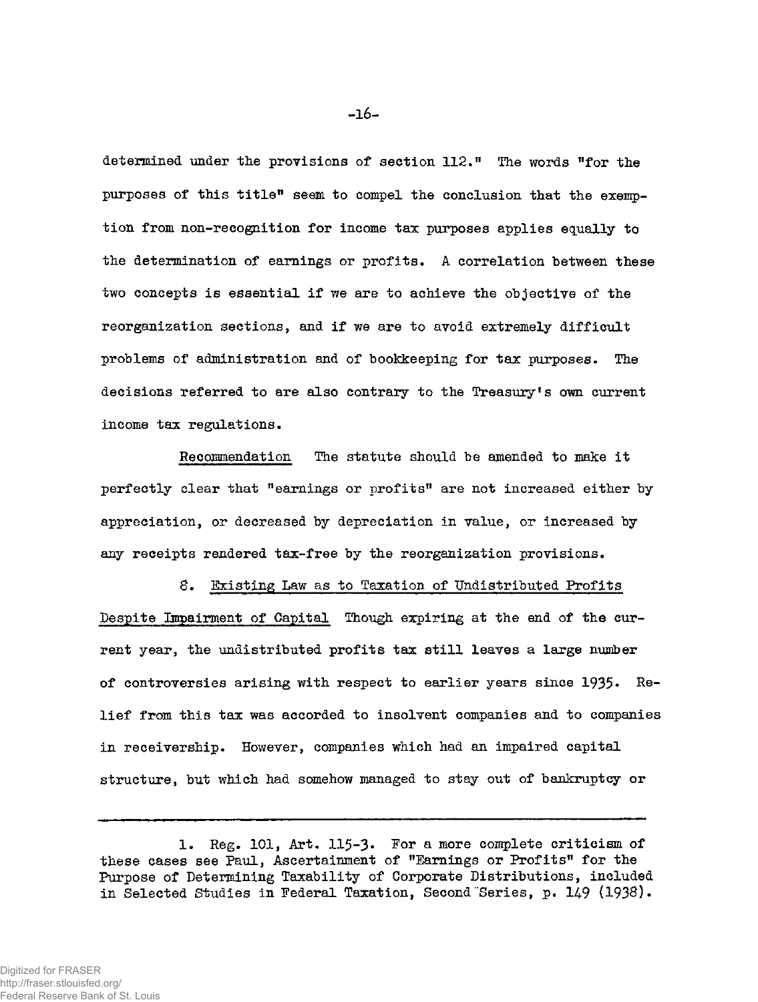determined under the provisions of section 112." The words "for the purposes of this title" seem to compel the conclusion that the exemption from non-recognition for income tax purposes applies equally to the determination of earnings or profits. A correlation between these two concepts is essential if we are to achieve the objective of the reorganization sections, and if we are to avoid extremely difficult problems of administration and of bookkeeping for tax purposes. The decisions referred to are also contrary to the Treasury's own current income tax regulations.

Recommendation The statute should be amended to make it perfectly clear that "earnings or profits" are not increased either by appreciation, or decreased by depreciation in value, or increased by any receipts rendered tax-free by the reorganization provisions.

8. Existing Law as to Taxation of Undistributed Profits Despite Impairment of Capital Though expiring at the end of the current year, the undistributed profits tax still leaves a large number of controversies arising with respect to earlier years since 1935. Relief from this tax was accorded to insolvent companies and to companies in receivership. However, companies which had an impaired capital structure, but which had somehow managed to stay out of bankruptcy or

<sup>1.</sup> Reg. 101, Art. 115-3. For a more complete criticism of these cases see Paul, Ascertainment of "Earnings or Profits" for the Purpose of Determining Taxability of Corporate Distributions, included in Selected Studies in Federal Taxation, Second Series, p. 149 (1938).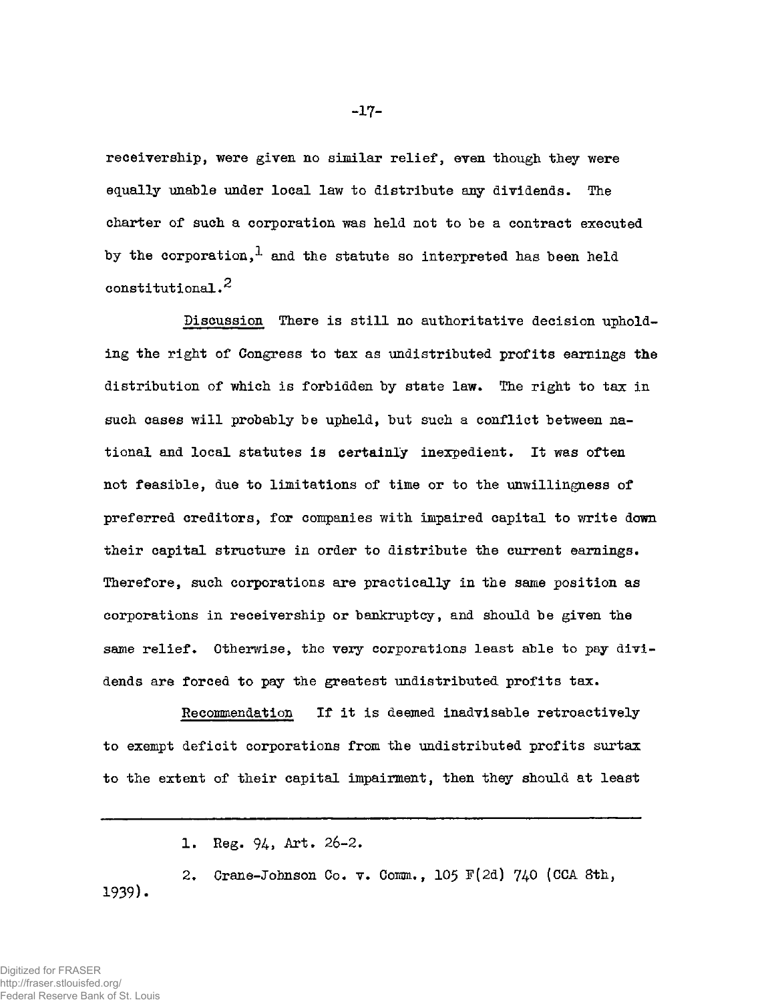receivership, were given no similar relief, even though they were equally unable under local law to distribute any dividends. The charter of such a corporation was held not to be a contract executed by the corporation,<sup>1</sup> and the statute so interpreted has been held constitutional. $^2$ 

Discussion There is still no authoritative decision upholding the right of Congress to tax as undistributed profits earnings the distribution of which is forbidden by state law. The right to tax in such cases will probably be upheld, but such a conflict between national and local statutes is certainly inexpedient. It was often not feasible, due to limitations of time or to the unwillingness of preferred creditors, for companies with impaired capital to write down their capital structure in order to distribute the current earnings. Therefore, such corporations are practically in the same position as corporations in receivership or bankruptcy, and should be given the same relief. Otherwise, the very corporations least able to pay dividends are forced to pay the greatest undistributed profits tax.

Recommendation If it is deemed inadvisable retroactively to exempt deficit corporations from the undistributed profits surtax to the extent of their capital impairment, then they should at least

1. Reg. 94, Art. 26-2.

2. Crane-Johnson Co. v. Comm., 105 F(2d) 740 (CCA 8th, 1939).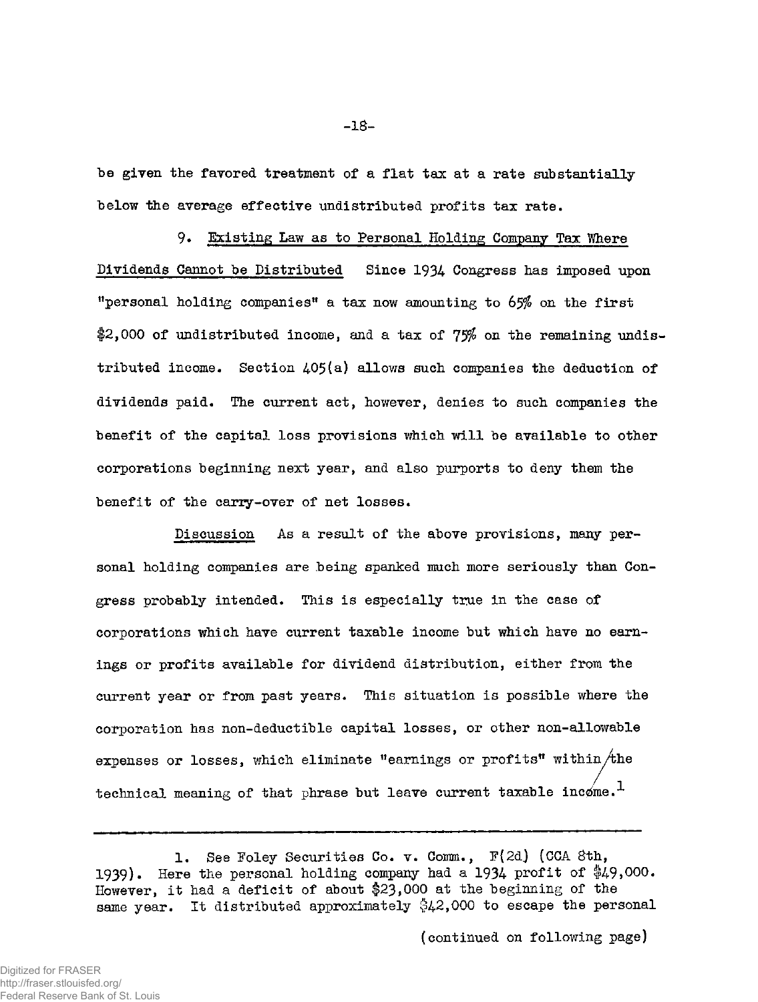be given the favored treatment of a flat tax at a rate substantially below the average effective undistributed profits tax rate.

9. Existing Law as to Personal Holding Company Tax Where Dividends Cannot be Distributed Since 1934 Congress has imposed upon "personal holding companies" a tax now amounting to 65% on the first  $2,000$  of undistributed income, and a tax of  $75%$  on the remaining undistributed income. Section 405(a) allows such companies the deduction of dividends paid. The current act, however, denies to such companies the benefit of the capital loss provisions which will be available to other corporations beginning next year, and also purports to deny them the benefit of the carry-over of net losses.

Discussion As a result of the above provisions, many personal holding companies are being spanked much more seriously than Congress probably intended. This is especially true in the case of corporations which have current taxable income but which have no earnings or profits available for dividend distribution, either from the current year or from past years. This situation is possible where the corporation has non-deductible capital losses, or other non-allowable expenses or losses, which eliminate "earnings or profits" within  $/$ the technical meaning of that phrase but leave current taxable income.<sup>1</sup>

(continued on following page)

<sup>1,</sup> See Foley Securities Co. v. Comm., F(2d) (CCA 8th, 1939), Here the personal holding company had a 1934 profit of \$49,000. However, it had a deficit of about #23,000 at the beginning of the same year. It distributed approximately \$42,000 to escape the personal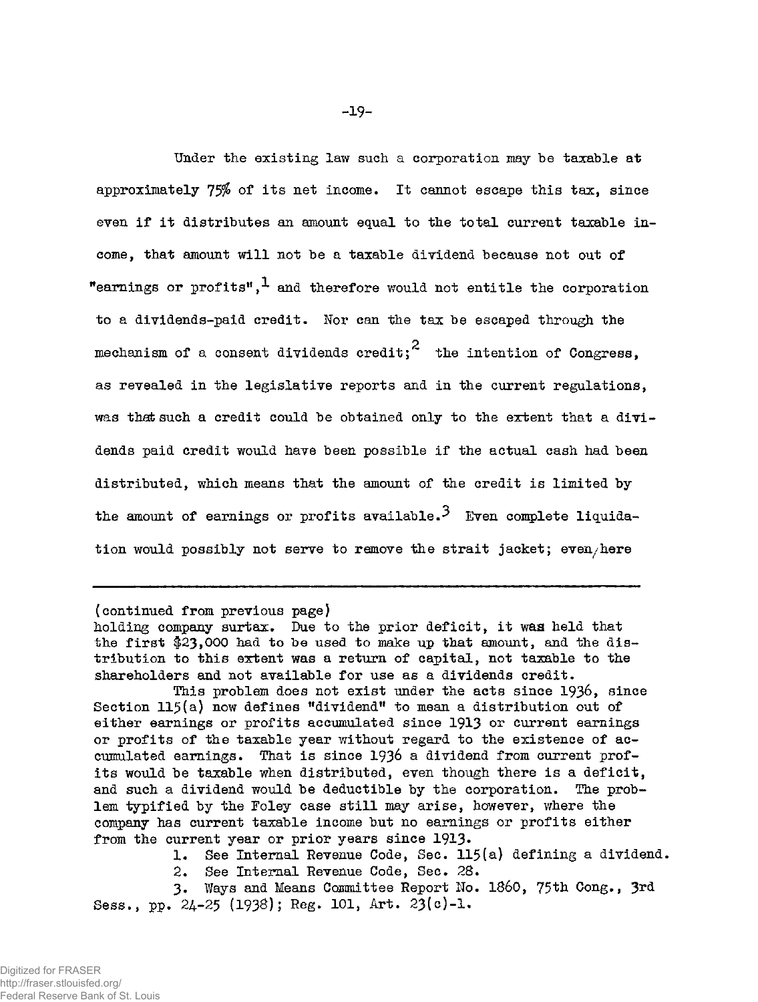Under the existing law such a corporation may be taxable at approximately 75\$ of its net income. It cannot escape this tax, since even if it distributes an amount equal to the total current taxable income, that amount will not be a taxable dividend because not out of "earnings or profits",  $\frac{1}{2}$  and therefore would not entitle the corporation to a dividends-paid credit. Nor can the tax be escaped through the mechanism of a consent dividends credit;<sup>2</sup> the intention of Congress. as revealed in the legislative reports and in the current regulations, was that such a credit could be obtained only to the extent that a dividistributed, which means that the amount of the credit is limited by the amount of earnings or profits available.<sup>3</sup> Even complete liquida-

(continued from previous page)

holding company surtax. Due to the prior deficit, it was held that the first  $$23,000$  had to be used to make up that amount, and the distribution to this extent was a return of capital, not taxable to the shareholders and not available for use as a dividends credit.

This problem does not exist under the acts since 1936, since Section 115(a) now defines "dividend" to mean a distribution out of either earnings or profits accumulated since 1913 or current earnings or profits of the taxable year without regard to the existence of accumulated earnings. That is since 1936 a dividend from current profits would be taxable when distributed, even though there is a deficit, and such a dividend would be deductible by the corporation. The problem typified by the Foley case still may arise, however, where the company has current taxable income but no earnings or profits either from the current year or prior years since 1913.

1. See Internal Revenue Code, Sec. 115(a) defining a dividend.

2. See Internal Revenue Code, Sec. 28.

3. Ways and Means Committee Report No. i860, 75th Cong., 3rd Sess., pp. 24-25 (193S); Reg. 101, Art. 23(c)-l.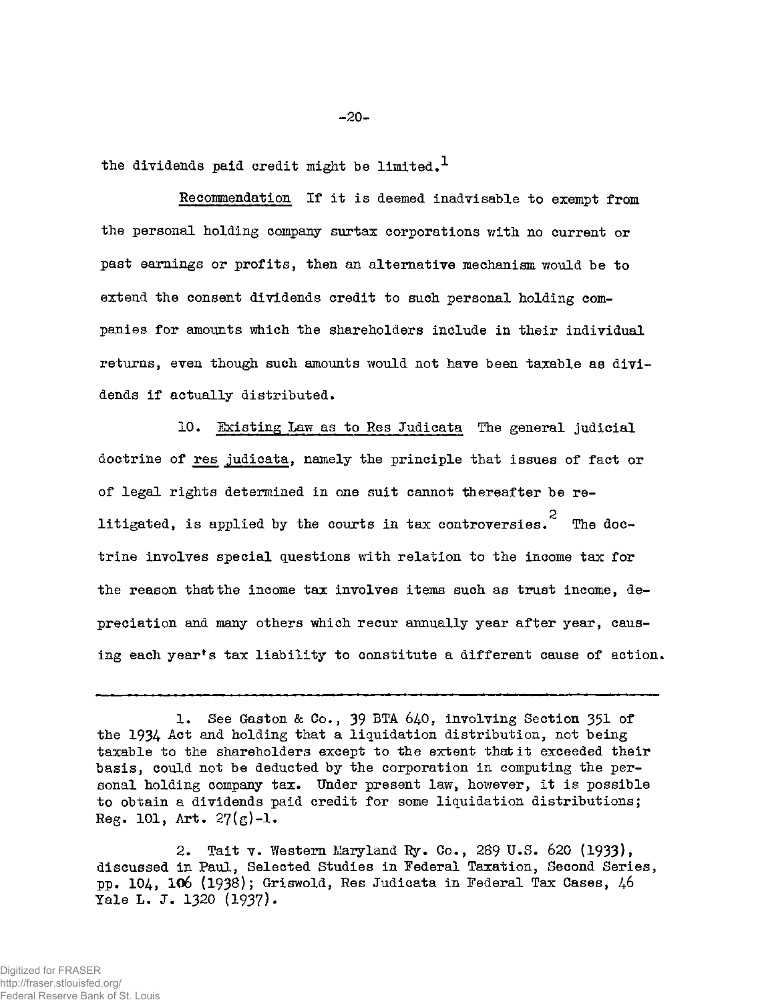the dividends paid credit might be limited.<sup>1</sup>

Recommendation If it is deemed inadvisable to exempt from the personal holding company surtax corporations with no current or past earnings or profits, then an alternative mechanism would be to extend the consent dividends credit to such personal holding companies for amounts which the shareholders include in their individual returns, even though such amounts would not have been taxable as dividends if actually distributed.

10. Existing Law as to Res Judicata The general judicial doctrine of res judicata, namely the principle that issues of fact or of legal rights determined in one suit cannot thereafter be relitigated, is applied by the courts in tax controversies.<sup>2</sup> The doctrine involves special questions with relation to the income tax for the reason that the income tax involves items such as trust income, depreciation and many others which recur annually year after year, causing each year's tax liability to constitute a different cause of action.

2. Tait v. Western Maryland Ry. Co., 289 U.S. 620 (1933), discussed in Paul, Selected Studies in Federal Taxation, Second Series, pp. 104, 106 (1938); Griswold, Res Judicata in Federal Tax Cases, 46 Yale L. J. 1320 (1937).

<sup>1.</sup> See Gaston & Co., 39 BTA 640, involving Section 351 of the 1934 Act and holding that a liquidation distribution, not being taxable to the shareholders except to the extent that it exceeded their basis, could not be deducted by the corporation in computing the personal holding company tax. Under present law, however, it is possible to obtain a dividends paid credit for some liquidation distributions; Reg. 101, Art. 27(g)-l.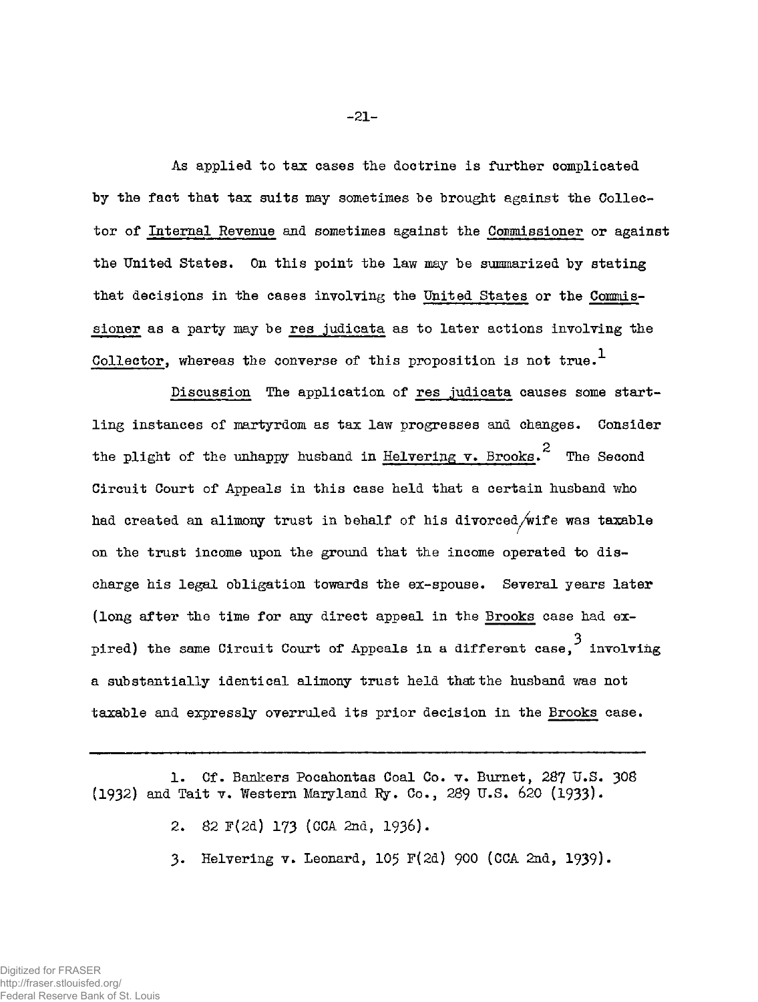As applied to tax cases the doctrine is further complicated by the fact that tax suits may sometimes be brought against the Collector of Internal Revenue and sometimes against the Commissioner or against the United States. On this point the law may be summarized by stating that decisions in the cases involving the United States or the Commissioner as a party may be res judicata as to later actions involving the Collector, whereas the converse of this proposition is not true.<sup>1</sup>

Discussion The application of res judicata causes some startling instances of martyrdom as tax law progresses and changes. Consider the plight of the unhappy husband in Helvering v. Brooks.<sup>2</sup> The Second had created an alimony trust in behalf of his divorced/wife was taxable had created an alimony trust in behalf of his divorced/wife was taxable charge his legal obligation towards the ex-spouse. Several years later pired) the same Circuit Court of Appeals in a different case,  $3$  involving a substantially identical alimony trust held that the husband was not

- 2. 82 F(2d) 173 (CCA 2nd, 1936).
- 3. Helvering v. Leonard, 105 F(2d) 900 (CCA 2nd, 1939).

<sup>1.</sup> Cf. Bankers Pocahontas Coal Co. v. Burnet, 287 U.S. 308 (1932) and Tait v. Western Maryland Ry. Co., 289 U.S. 620 (1933)•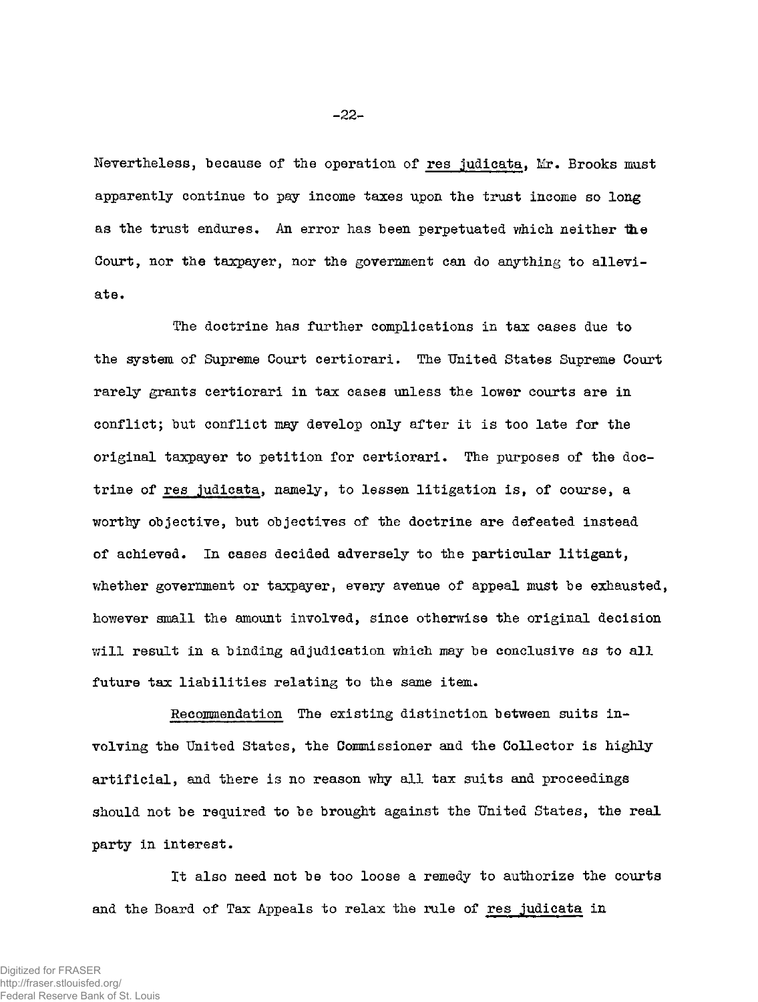Nevertheless, because of the operation of res judicata, Mr. Brooks must apparently continue to pay income taxes upon the trust income so long as the trust endures. An error has been perpetuated which neither the Court, nor the taxpayer, nor the government can do anything to alleviate.

The doctrine has further complications in tax cases due to the system of Supreme Court certiorari. The United States Supreme Court rarely grants certiorari in tax cases unless the lower courts are in conflict; but conflict may develop only after it is too late for the original taxpayer to petition for certiorari. The purposes of the doctrine of res judicata, namely, to lessen litigation is, of course, a worthy objective, but objectives of the doctrine are defeated instead of achieved. In cases decided adversely to the particular litigant, whether government or taxpayer, every avenue of appeal must be exhausted, however small the amount involved, since otherwise the original decision will result in a binding adjudication which may be conclusive as to all future tax liabilities relating to the same item.

Recommendation The existing distinction between suits involving the United States, the Commissioner and the Collector is highly artificial, and there is no reason why all tax suits and proceedings should not be required to be brought against the United States, the real party in interest.

It also need not be too loose a remedy to authorize the courts and the Board of Tax Appeals to relax the rule of res judicata in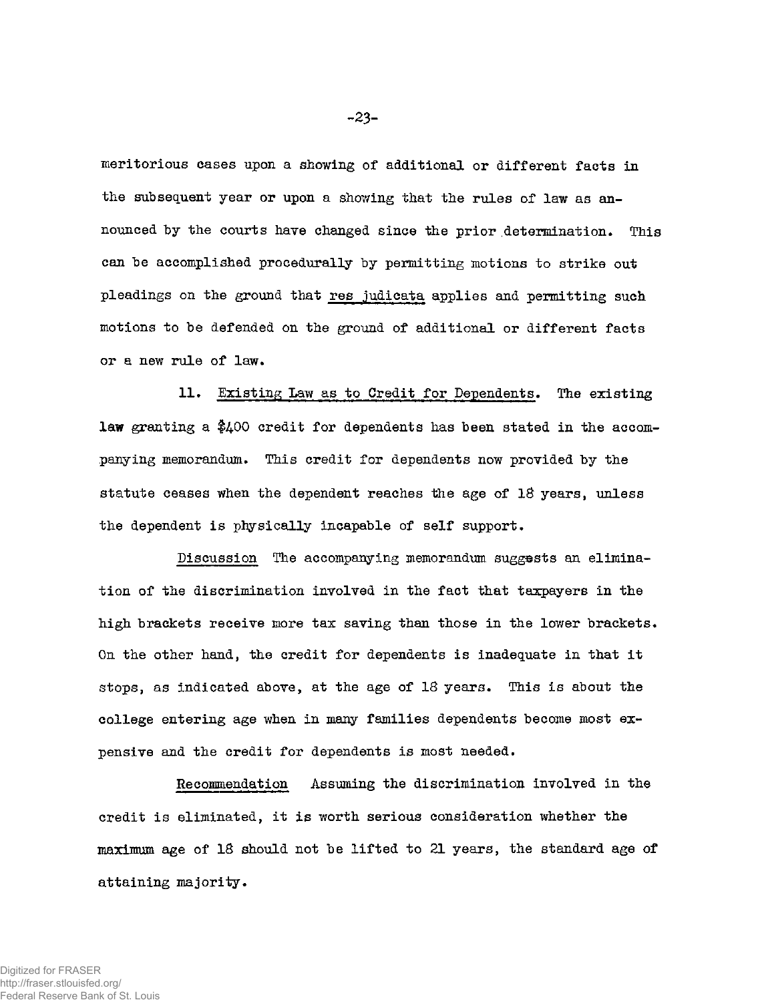meritorious cases upon a showing of additional or different facts in the subsequent year or upon a showing that the rules of law as announced by the courts have changed since the prior determination. This can be accomplished procedurally by permitting motions to strike out pleadings on the ground that res judicata applies and permitting such motions to be defended on the ground of additional or different facts or a new rule of law.

11. Existing Law as to Credit for Dependents. The existing law granting a \$400 credit for dependents has been stated in the accompanying memorandum. This credit for dependents now provided by the statute ceases when the dependent reaches the age of 18 years, unless the dependent is physically incapable of self support.

Discussion The accompanying memorandum suggests an elimination of the discrimination involved in the fact that taxpayers in the high brackets receive more tax saving than those in the lower brackets. On the other hand, the credit for dependents is inadequate in that it stops, as indicated above, at the age of 18 years. This is about the college entering age when in many families dependents become most expensive and the credit for dependents is most needed.

Recommendation Assuming the discrimination involved in the credit is eliminated, it is worth serious consideration whether the maximum age of 18 should not be lifted to 21 years, the standard age of attaining majority.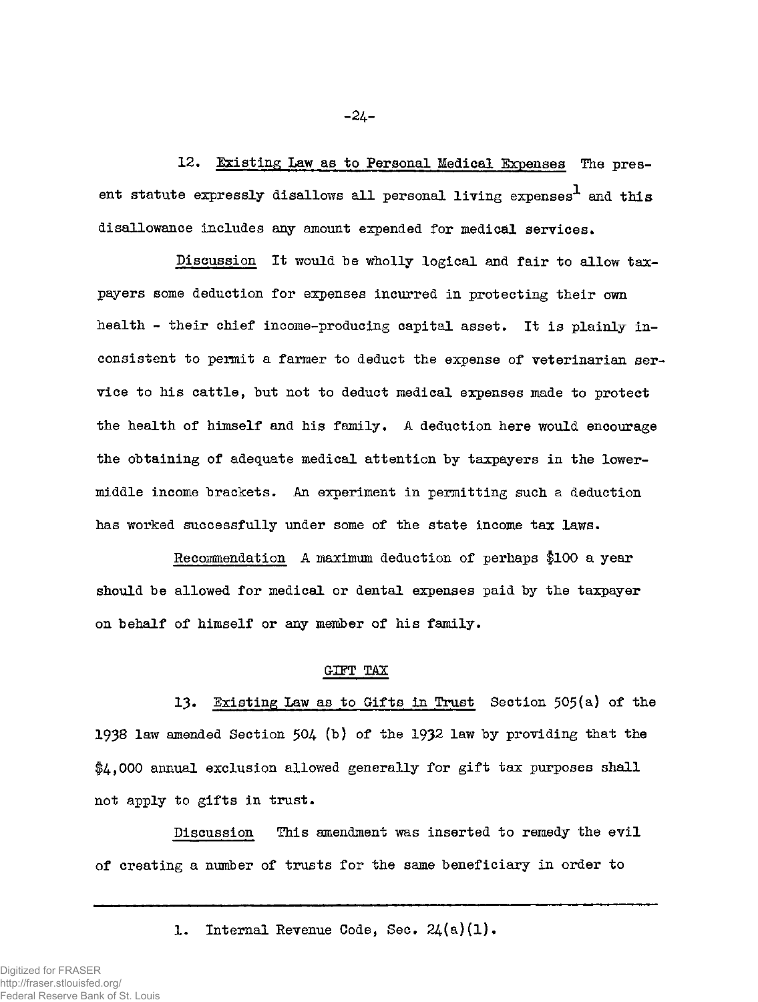12. Existing Law as to Personal Medical Expenses The present statute expressly disallows all personal living expenses<sup>1</sup> and this disallowance includes any amount expended for medical services.

Discussion It would be wholly logical and fair to allow taxpayers some deduction for expenses incurred in protecting their own health - their chief income-producing capital asset. It is plainly inconsistent to permit a farmer to deduct the expense of veterinarian service to his cattle, but not to deduct medical *expenses* made to protect the health of himself and his family. A deduction here would encourage the obtaining of adequate medical attention by taxpayers in the lowermiddle income brackets. An experiment in permitting such a deduction has worked successfully under some of the state income tax laws.

Recommendation A maximum deduction of perhaps \$100 a year should be allowed for medical or dental expenses paid by the taxpayer on behalf of himself or any member of his family.

## GIFT TAX

13. Existing Law as to Gifts in Trust Section 505(a) of the 1938 law amended Section 504 (b) of the 1932 law by providing that the  $$4,000$  annual exclusion allowed generally for gift tax purposes shall not apply to gifts in trust.

Discussion This amendment was inserted to remedy the evil of creating a number of trusts for the same beneficiary in order to

1. Internal Revenue Code, Sec. 24(a)(1).

Digitized for FRASER http://fraser.stlouisfed.org/ Federal Reserve Bank of St. Louis **-24-**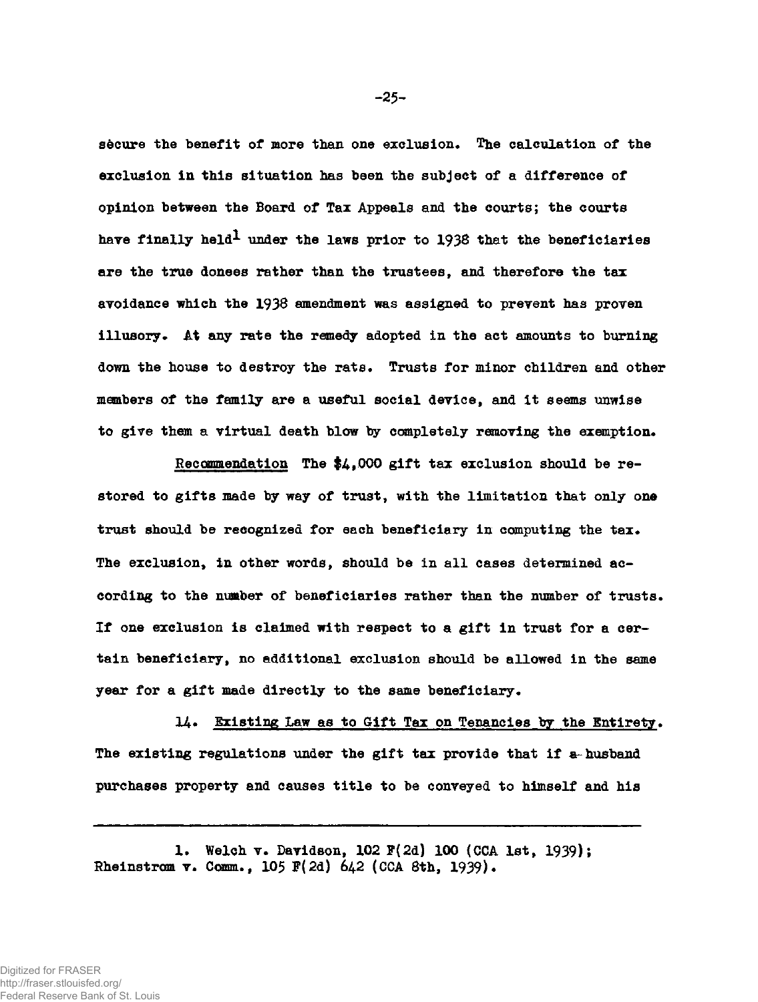**secure the benefit of more than one exclusion. The calculation of the exclusion in this situation has been the subject of a difference of opinion between the Board of Tax Appeals and the courts; the courts have finally held\* under the laws prior to 1938 that the beneficiaries are the true donees rather than the trustees, and therefore the tax avoidance which the 1938 amendment was assigned to prevent has proven illusory\* At any rate the remedy adopted in the act amounts to burning**  down the house to destroy the rats. Trusts for minor children and other **members of the family are a useful social device, and it seems unwise**  to give them a virtual death blow by completely removing the exemption.

**Recommendation The \$4,000 gift tax exclusion should be restored to gifts made by way of trust, with the limitation that only one trust should be recognized for each beneficiary in computing the tax\* The exclusion, in other words, should be in all cases determined according to the number of beneficiaries rather than the number of trusts. If one exclusion is claimed with respect to a gift in trust for a certain beneficiary, no additional exclusion should be allowed in the same year for a gift made directly to the same beneficiary.** 

**14\* Existing Law as to Gift Tax on Tenancies by the Entirety. The existing regulations under the gift tax provide that if a- husband purchases property and causes title to be conveyed to himself and his** 

**1. Welch v. Davidson, 102 F(2d) 100 (CCA 1st, 1939); Rheinstrosm v. Comm., 10\$ F(2d) 642 (CCA 8th, 1939)•** 

**-25 -**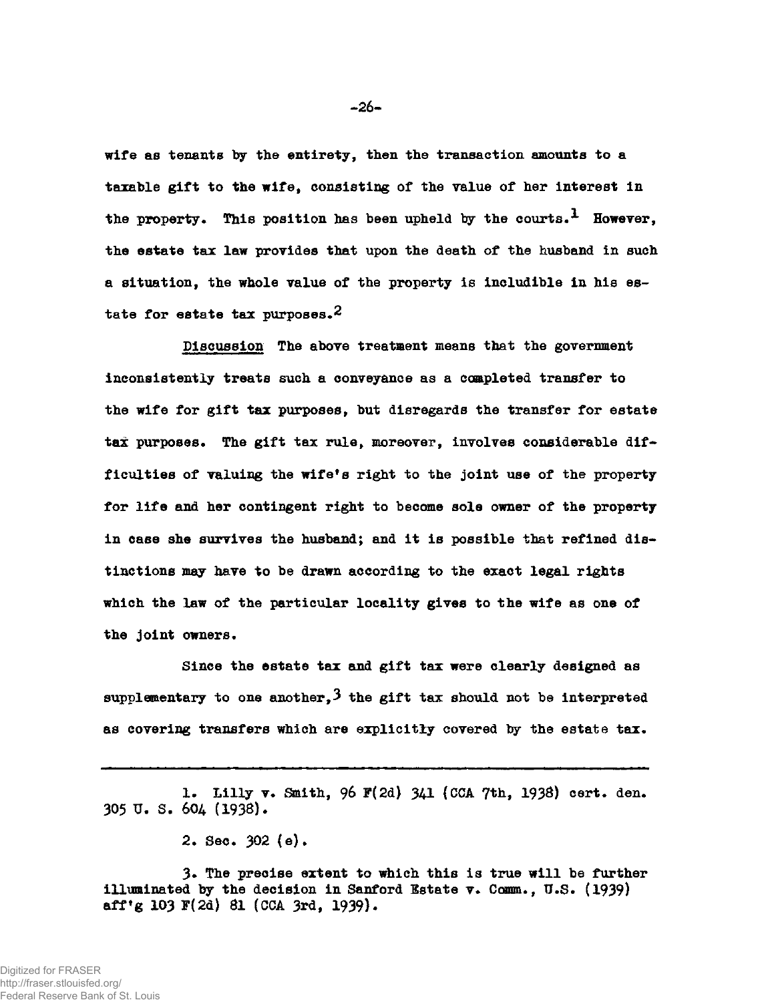**wife as tenants by the entirety, then the transaction amounts to a taxable gift to the wife, consisting of the value of her interest in the property. This position has been upheld by the courts.<sup>1</sup> However, the estate tax law provides that upon the death of the husband in such a situation, the whole value of the property is includible in his estate for estate tax purposes.2** 

**Discussion The above treatment means that the government inconsistently treats such a conveyance as a completed transfer to the wife for gift tax purposes, but disregards the transfer for estate tax purposes. The gift tax rule, moreover, involves considerable difficulties of valuing the wife<sup>f</sup>s right to the joint use of the property**  for life and her contingent right to become sole owner of the property **in case she survives the husband; and it is possible that refined distinctions may have to be drawn according to the exact legal rights which the law of the particular locality gives to the wife as one of the joint owners.** 

**Since the estate tax and gift tax were clearly designed as supplementary to one another,3 the gift tax should not be interpreted as covering transfers which are explicitly covered by the estate tax.** 

1. Lilly v. Smith, 96 F(2d) 341 (CCA 7th, 1938) cert. den. **305 U. S. 604 (193S).** 

**2. Sec. 302 (e).** 

**3» The precise extent to which this is true will be further illuminated by the decision in Sanford Estate v. Comm., U.S. (1939) aff<sup>f</sup>g 103 F(2d) 81 (CCA 3rd, 1939).**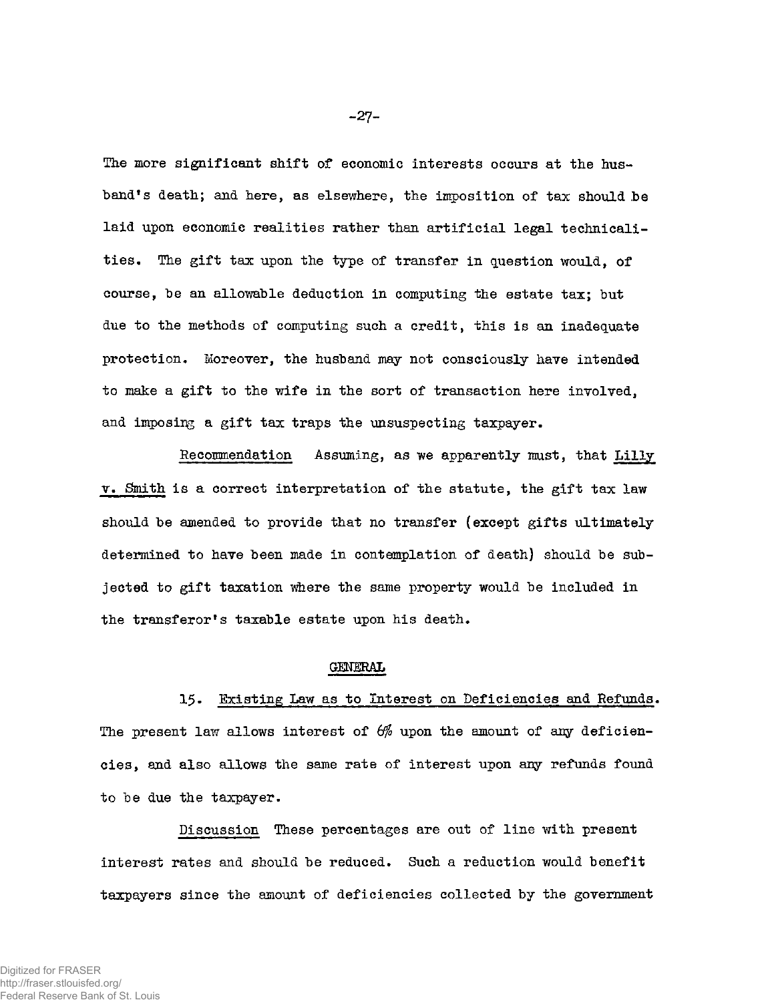The more significant shift of economic interests occurs at the husband's death; and here, as elsewhere, the imposition of tax should be laid upon economic realities rather than artificial legal technicalities. The gift tax upon the type of transfer in question would, of course, be an allowable deduction in computing the estate tax; but due to the methods of computing such a credit, this is an inadequate protection. Moreover, the husband may not consciously have intended to make a gift to the wife in the sort of transaction here involved. and imposing a gift tax traps the unsuspecting taxpayer.

Recommendation Assuming, as we apparently must, that Lilly v. Smith is a correct interpretation of the statute, the gift tax law should be amended to provide that no transfer (except gifts ultimately determined to have been made in contemplation of death) should be subjected to gift taxation where the same property would be included in the transferor's taxable estate upon his death.

#### GENERAL

15. Existing Law as to Interest on Deficiencies and Refunds. The present law allows interest of  $6\%$  upon the amount of any deficiencies, and also allows the same rate of interest upon any refunds found to be due the taxpayer.

Discussion These percentages are out of line with present interest rates and should be reduced. Such a reduction would benefit taxpayers since the amount of deficiencies collected by the government